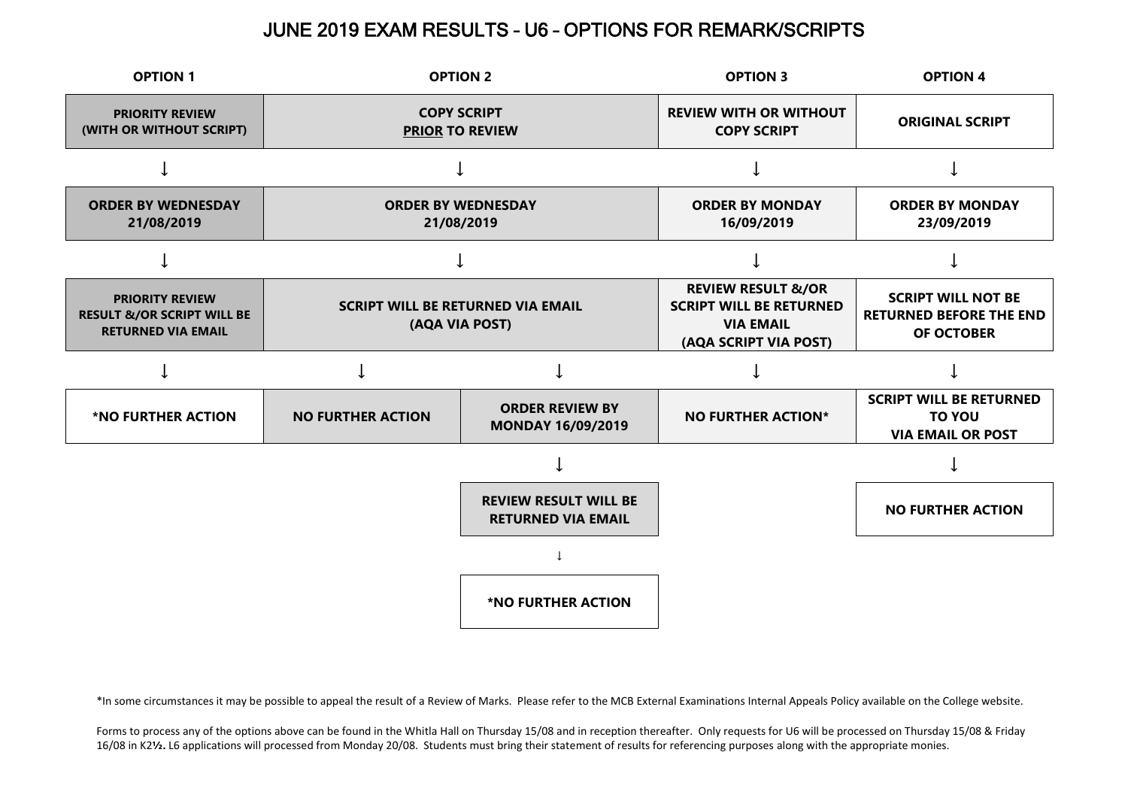## JUNE 2019 EXAM RESULTS – U6 – OPTIONS FOR REMARK/SCRIPTS



\*In some circumstances it may be possible to appeal the result of a Review of Marks. Please refer to the MCB External Examinations Internal Appeals Policy available on the College website.

Forms to process any of the options above can be found in the Whitla Hall on Thursday 15/08 and in reception thereafter. Only requests for U6 will be processed on Thursday 15/08 & Friday 16/08 in K2**½.** L6 applications will processed from Monday 20/08. Students must bring their statement of results for referencing purposes along with the appropriate monies.